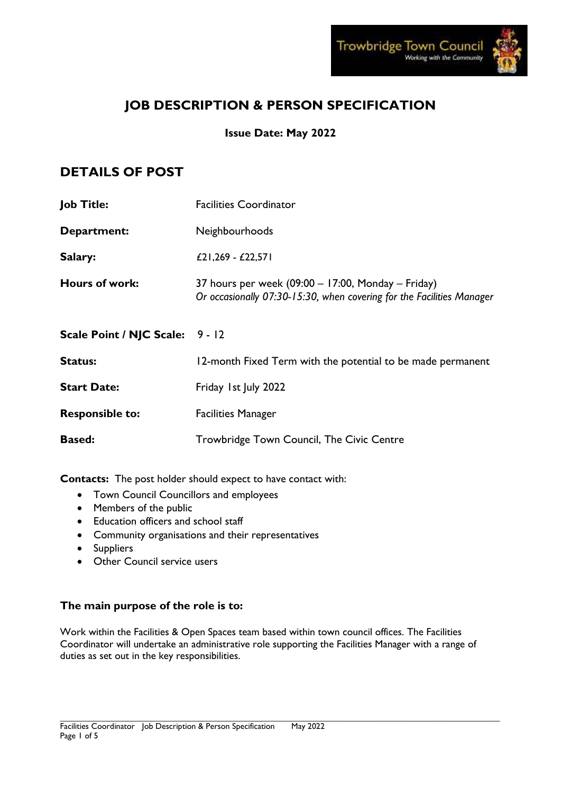

# **JOB DESCRIPTION & PERSON SPECIFICATION**

# **Issue Date: May 2022**

# **DETAILS OF POST**

| <b>Job Title:</b>               | <b>Facilities Coordinator</b>                                                                                                 |  |
|---------------------------------|-------------------------------------------------------------------------------------------------------------------------------|--|
| Department:                     | Neighbourhoods                                                                                                                |  |
| Salary:                         | £21,269 - £22,571                                                                                                             |  |
| Hours of work:                  | 37 hours per week $(09:00 - 17:00,$ Monday – Friday)<br>Or occasionally 07:30-15:30, when covering for the Facilities Manager |  |
| Scale Point / NJC Scale: 9 - 12 |                                                                                                                               |  |
| <b>Status:</b>                  | 12-month Fixed Term with the potential to be made permanent                                                                   |  |
| <b>Start Date:</b>              | Friday 1st July 2022                                                                                                          |  |
| <b>Responsible to:</b>          | <b>Facilities Manager</b>                                                                                                     |  |
| <b>Based:</b>                   | Trowbridge Town Council, The Civic Centre                                                                                     |  |

**Contacts:** The post holder should expect to have contact with:

- Town Council Councillors and employees
- Members of the public
- Education officers and school staff
- Community organisations and their representatives
- Suppliers
- Other Council service users

# **The main purpose of the role is to:**

Work within the Facilities & Open Spaces team based within town council offices. The Facilities Coordinator will undertake an administrative role supporting the Facilities Manager with a range of duties as set out in the key responsibilities.

\_\_\_\_\_\_\_\_\_\_\_\_\_\_\_\_\_\_\_\_\_\_\_\_\_\_\_\_\_\_\_\_\_\_\_\_\_\_\_\_\_\_\_\_\_\_\_\_\_\_\_\_\_\_\_\_\_\_\_\_\_\_\_\_\_\_\_\_\_\_\_\_\_\_\_\_\_\_\_\_\_\_\_\_\_\_\_\_\_\_\_\_\_\_\_\_\_\_\_\_\_\_\_\_\_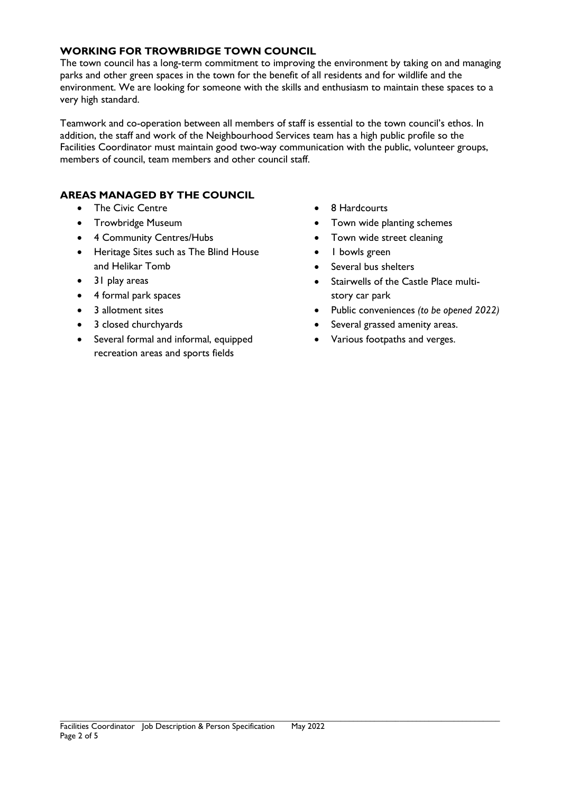## **WORKING FOR TROWBRIDGE TOWN COUNCIL**

The town council has a long-term commitment to improving the environment by taking on and managing parks and other green spaces in the town for the benefit of all residents and for wildlife and the environment. We are looking for someone with the skills and enthusiasm to maintain these spaces to a very high standard.

Teamwork and co-operation between all members of staff is essential to the town council's ethos. In addition, the staff and work of the Neighbourhood Services team has a high public profile so the Facilities Coordinator must maintain good two-way communication with the public, volunteer groups, members of council, team members and other council staff.

## **AREAS MANAGED BY THE COUNCIL**

- The Civic Centre
- Trowbridge Museum
- 4 Community Centres/Hubs
- Heritage Sites such as The Blind House and Helikar Tomb
- 31 play areas
- 4 formal park spaces
- 3 allotment sites
- 3 closed churchyards
- Several formal and informal, equipped recreation areas and sports fields
- 8 Hardcourts
- Town wide planting schemes
- Town wide street cleaning
- 1 bowls green
- Several bus shelters
- Stairwells of the Castle Place multistory car park
- Public conveniences *(to be opened 2022)*
- Several grassed amenity areas.
- Various footpaths and verges.

\_\_\_\_\_\_\_\_\_\_\_\_\_\_\_\_\_\_\_\_\_\_\_\_\_\_\_\_\_\_\_\_\_\_\_\_\_\_\_\_\_\_\_\_\_\_\_\_\_\_\_\_\_\_\_\_\_\_\_\_\_\_\_\_\_\_\_\_\_\_\_\_\_\_\_\_\_\_\_\_\_\_\_\_\_\_\_\_\_\_\_\_\_\_\_\_\_\_\_\_\_\_\_\_\_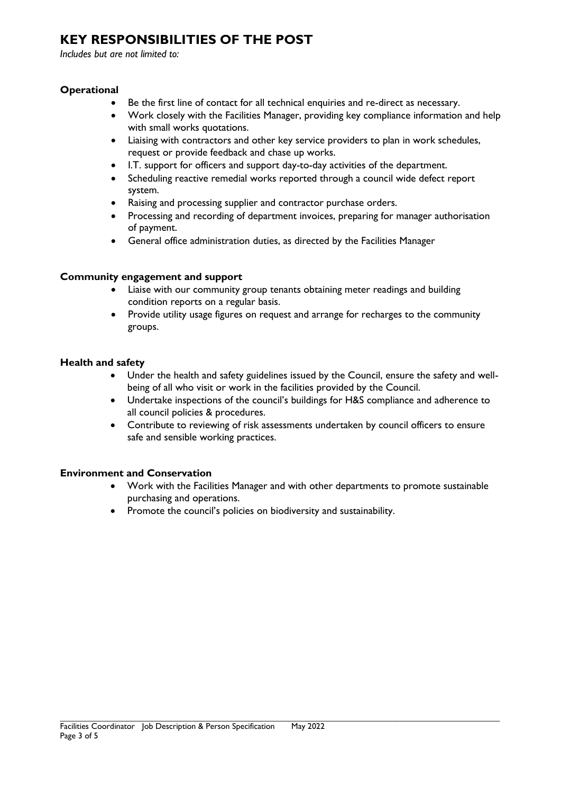# **KEY RESPONSIBILITIES OF THE POST**

*Includes but are not limited to:*

# **Operational**

- Be the first line of contact for all technical enquiries and re-direct as necessary.
- Work closely with the Facilities Manager, providing key compliance information and help with small works quotations.
- Liaising with contractors and other key service providers to plan in work schedules, request or provide feedback and chase up works.
- I.T. support for officers and support day-to-day activities of the department.
- Scheduling reactive remedial works reported through a council wide defect report system.
- Raising and processing supplier and contractor purchase orders.
- Processing and recording of department invoices, preparing for manager authorisation of payment.
- General office administration duties, as directed by the Facilities Manager

## **Community engagement and support**

- Liaise with our community group tenants obtaining meter readings and building condition reports on a regular basis.
- Provide utility usage figures on request and arrange for recharges to the community groups.

#### **Health and safety**

- Under the health and safety guidelines issued by the Council, ensure the safety and wellbeing of all who visit or work in the facilities provided by the Council.
- Undertake inspections of the council's buildings for H&S compliance and adherence to all council policies & procedures.
- Contribute to reviewing of risk assessments undertaken by council officers to ensure safe and sensible working practices.

#### **Environment and Conservation**

- Work with the Facilities Manager and with other departments to promote sustainable purchasing and operations.
- Promote the council's policies on biodiversity and sustainability.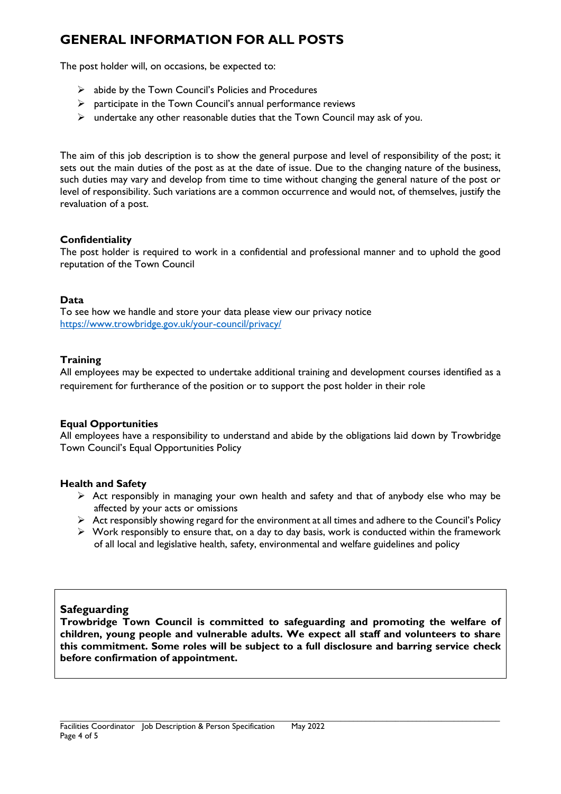# **GENERAL INFORMATION FOR ALL POSTS**

The post holder will, on occasions, be expected to:

- $\triangleright$  abide by the Town Council's Policies and Procedures
- $\triangleright$  participate in the Town Council's annual performance reviews
- $\triangleright$  undertake any other reasonable duties that the Town Council may ask of you.

The aim of this job description is to show the general purpose and level of responsibility of the post; it sets out the main duties of the post as at the date of issue. Due to the changing nature of the business, such duties may vary and develop from time to time without changing the general nature of the post or level of responsibility. Such variations are a common occurrence and would not, of themselves, justify the revaluation of a post.

## **Confidentiality**

The post holder is required to work in a confidential and professional manner and to uphold the good reputation of the Town Council

#### **Data**

To see how we handle and store your data please view our privacy notice <https://www.trowbridge.gov.uk/your-council/privacy/>

## **Training**

All employees may be expected to undertake additional training and development courses identified as a requirement for furtherance of the position or to support the post holder in their role

#### **Equal Opportunities**

All employees have a responsibility to understand and abide by the obligations laid down by Trowbridge Town Council's Equal Opportunities Policy

#### **Health and Safety**

- $\triangleright$  Act responsibly in managing your own health and safety and that of anybody else who may be affected by your acts or omissions
- Act responsibly showing regard for the environment at all times and adhere to the Council's Policy
- $\triangleright$  Work responsibly to ensure that, on a day to day basis, work is conducted within the framework of all local and legislative health, safety, environmental and welfare guidelines and policy

# **Safeguarding**

**Trowbridge Town Council is committed to safeguarding and promoting the welfare of children, young people and vulnerable adults. We expect all staff and volunteers to share this commitment. Some roles will be subject to a full disclosure and barring service check before confirmation of appointment.** 

\_\_\_\_\_\_\_\_\_\_\_\_\_\_\_\_\_\_\_\_\_\_\_\_\_\_\_\_\_\_\_\_\_\_\_\_\_\_\_\_\_\_\_\_\_\_\_\_\_\_\_\_\_\_\_\_\_\_\_\_\_\_\_\_\_\_\_\_\_\_\_\_\_\_\_\_\_\_\_\_\_\_\_\_\_\_\_\_\_\_\_\_\_\_\_\_\_\_\_\_\_\_\_\_\_